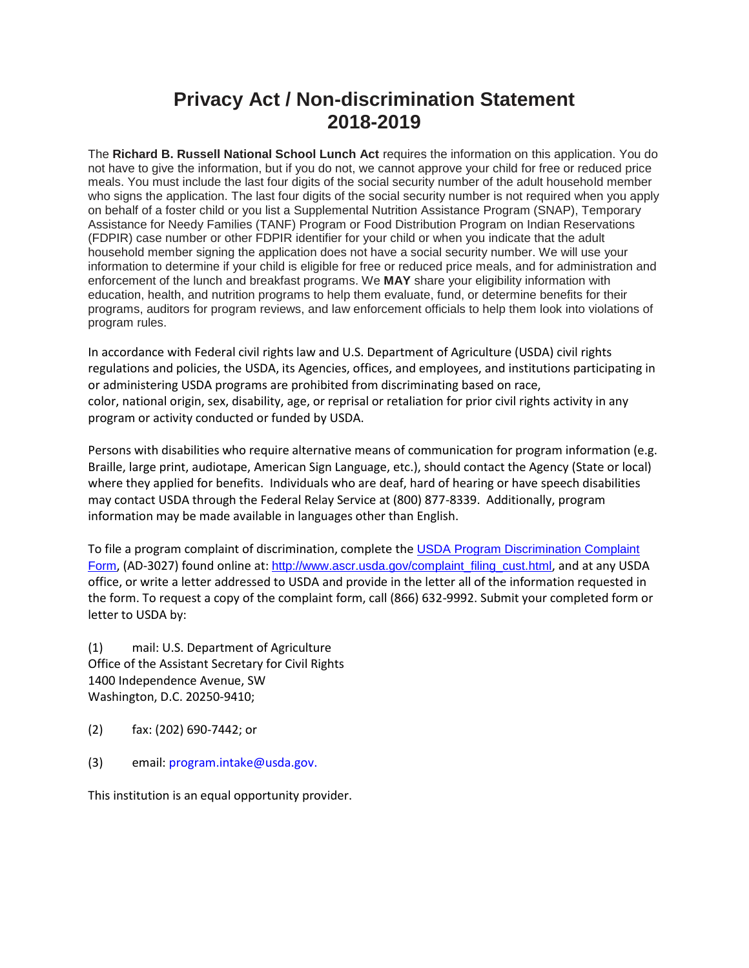## **Privacy Act / Non-discrimination Statement 2018-2019**

The **Richard B. Russell National School Lunch Act** requires the information on this application. You do not have to give the information, but if you do not, we cannot approve your child for free or reduced price meals. You must include the last four digits of the social security number of the adult household member who signs the application. The last four digits of the social security number is not required when you apply on behalf of a foster child or you list a Supplemental Nutrition Assistance Program (SNAP), Temporary Assistance for Needy Families (TANF) Program or Food Distribution Program on Indian Reservations (FDPIR) case number or other FDPIR identifier for your child or when you indicate that the adult household member signing the application does not have a social security number. We will use your information to determine if your child is eligible for free or reduced price meals, and for administration and enforcement of the lunch and breakfast programs. We **MAY** share your eligibility information with education, health, and nutrition programs to help them evaluate, fund, or determine benefits for their programs, auditors for program reviews, and law enforcement officials to help them look into violations of program rules.

In accordance with Federal civil rights law and U.S. Department of Agriculture (USDA) civil rights regulations and policies, the USDA, its Agencies, offices, and employees, and institutions participating in or administering USDA programs are prohibited from discriminating based on race, color, national origin, sex, disability, age, or reprisal or retaliation for prior civil rights activity in any program or activity conducted or funded by USDA.

Persons with disabilities who require alternative means of communication for program information (e.g. Braille, large print, audiotape, American Sign Language, etc.), should contact the Agency (State or local) where they applied for benefits. Individuals who are deaf, hard of hearing or have speech disabilities may contact USDA through the Federal Relay Service at (800) 877-8339. Additionally, program information may be made available in languages other than English.

To file a program complaint of discrimination, complete the USDA Program Discrimination Complaint [Form](http://www.ocio.usda.gov/sites/default/files/docs/2012/Complain_combined_6_8_12.pdf), (AD-3027) found online at: [http://www.ascr.usda.gov/complaint\\_filing\\_cust.html](http://www.ascr.usda.gov/complaint_filing_cust.html), and at any USDA office, or write a letter addressed to USDA and provide in the letter all of the information requested in the form. To request a copy of the complaint form, call (866) 632-9992. Submit your completed form or letter to USDA by:

(1) mail: U.S. Department of Agriculture Office of the Assistant Secretary for Civil Rights 1400 Independence Avenue, SW Washington, D.C. 20250-9410;

- (2) fax: (202) 690-7442; or
- (3) email: program.intake@usda.gov.

This institution is an equal opportunity provider.